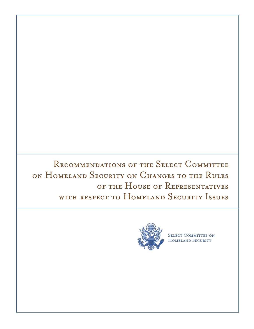RECOMMENDATIONS OF THE SELECT COMMITTEE on Homeland Security on Changes to the Rules of the House of Representatives with respect to Homeland Security Issues



SELECT COMMITTEE ON HOMELAND SECURITY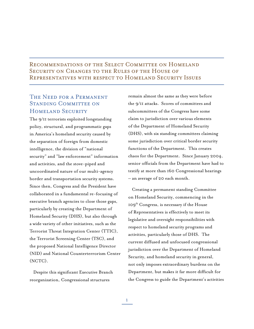## Recommendations of the Select Committee on Homeland Security on Changes to the Rules of the House of Representatives with respect to Homeland Security Issues

# THE NEED FOR A PERMANENT STANDING COMMITTEE ON HOMELAND SECURITY

The 9/11 terrorists exploited longstanding policy, structural, and programmatic gaps in America's homeland security caused by the separation of foreign from domestic intelligence, the division of "national security" and "law enforcement" information and activities, and the stove-piped and uncoordinated nature of our multi-agency border and transportation security systems. Since then, Congress and the President have collaborated in a fundamental re-focusing of executive branch agencies to close those gaps, particularly by creating the Department of Homeland Security (DHS), but also through a wide variety of other initiatives, such as the Terrorist Threat Integration Center (TTIC), the Terrorist Screening Center (TSC), and the proposed National Intelligence Director (NID) and National Counterterrorism Center (NCTC).

Despite this significant Executive Branch reorganization, Congressional structures

remain almost the same as they were before the 9/11 attacks. Scores of committees and subcommittees of the Congress have some claim to jurisdiction over various elements of the Department of Homeland Security (DHS), with six standing committees claiming some jurisdiction over critical border security functions of the Department. This creates chaos for the Department. Since January 2004, senior officials from the Department have had to testify at more than 160 Congressional hearings – an average of 20 each month.

Creating a permanent standing Committee on Homeland Security, commencing in the 109th Congress, is necessary if the House of Representatives is effectively to meet its legislative and oversight responsibilities with respect to homeland security programs and activities, particularly those of DHS. The current diffused and unfocused congressional jurisdiction over the Department of Homeland Security, and homeland security in general, not only imposes extraordinary burdens on the Department, but makes it far more difficult for the Congress to guide the Department's activities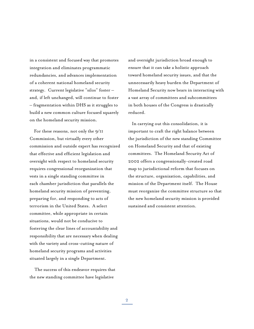in a consistent and focused way that promotes integration and eliminates programmatic redundancies, and advances implementation of a coherent national homeland security strategy. Current legislative "silos" foster – and, if left unchanged, will continue to foster – fragmentation within DHS as it struggles to build a new common culture focused squarely on the homeland security mission.

For these reasons, not only the 9/11 Commission, but virtually every other commission and outside expert has recognized that effective and efficient legislation and oversight with respect to homeland security requires congressional reorganization that vests in a single standing committee in each chamber jurisdiction that parallels the homeland security mission of preventing, preparing for, and responding to acts of terrorism in the United States. A select committee, while appropriate in certain situations, would not be conducive to fostering the clear lines of accountability and responsibility that are necessary when dealing with the variety and cross-cutting nature of homeland security programs and activities situated largely in a single Department.

 The success of this endeavor requires that the new standing committee have legislative

and oversight jurisdiction broad enough to ensure that it can take a holistic approach toward homeland security issues, and that the unnecessarily heavy burden the Department of Homeland Security now bears in interacting with a vast array of committees and subcommittees in both houses of the Congress is drastically reduced.

In carrying out this consolidation, it is important to craft the right balance between the jurisdiction of the new standing Committee on Homeland Security and that of existing committees. The Homeland Security Act of 2002 offers a congressionally-created road map to jurisdictional reform that focuses on the structure, organization, capabilities, and mission of the Department itself. The House must reorganize the committee structure so that the new homeland security mission is provided sustained and consistent attention.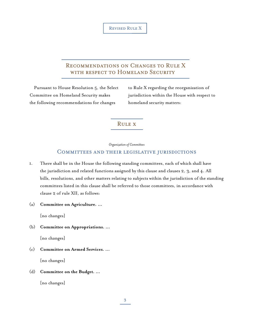## Recommendations on Changes to Rule X with respect to Homeland Security

Pursuant to House Resolution 5, the Select Committee on Homeland Security makes the following recommendations for changes

to Rule X regarding the reorganization of jurisdiction within the House with respect to homeland security matters:

## Rule x

*Organization of Committees*

## Committees and their legislative jurisdictions

- 1. There shall be in the House the following standing committees, each of which shall have the jurisdiction and related functions assigned by this clause and clauses 2, 3, and 4. All bills, resolutions, and other matters relating to subjects within the jurisdiction of the standing committees listed in this clause shall be referred to those committees, in accordance with clause 2 of rule XII, as follows:
- (a) **Committee on Agriculture. …**

[no changes]

(b) **Committee on Appropriations. …**

[no changes]

(c) **Committee on Armed Services. …**

[no changes]

### (d) **Committee on the Budget. …**

[no changes]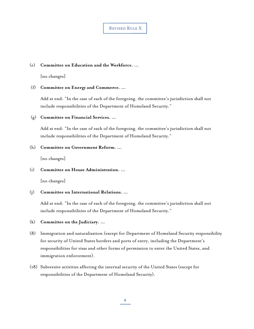#### (e) **Committee on Education and the Workforce. …**

[no changes]

#### (f) **Committee on Energy and Commerce. …**

Add at end: "In the case of each of the foregoing, the committee's jurisdiction shall not include responsibilities of the Department of Homeland Security."

#### (g) **Committee on Financial Services. …**

Add at end: "In the case of each of the foregoing, the committee's jurisdiction shall not include responsibilities of the Department of Homeland Security."

#### (h) **Committee on Government Reform. …**

[no changes]

### (i) **Committee on House Administration. …**

[no changes]

(j) **Committee on International Relations. …**

Add at end: "In the case of each of the foregoing, the committee's jurisdiction shall not include responsibilities of the Department of Homeland Security."

### (k) **Committee on the Judiciary. …**

- (8) Immigration and naturalization (except for Department of Homeland Security responsibility for security of United States borders and ports of entry, including the Department's responsibilities for visas and other forms of permission to enter the United States, and immigration enforcement).
- (18) Subversive activities affecting the internal security of the United States (except for responsibilities of the Department of Homeland Security).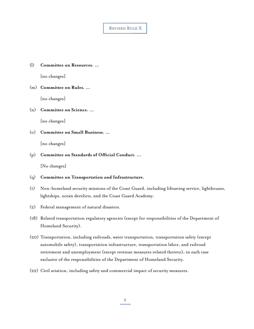(l) **Committee on Resources. …**

[no changes]

#### (m) **Committee on Rules. …**

[no changes]

(n) **Committee on Science. …**

[no changes]

(o) **Committee on Small Business. …**

[no changes]

#### (p) **Committee on Standards of Official Conduct. …**

[No changes]

- (q) **Committee on Transportation and Infrastructure.**
- (1) Non-homeland security missions of the Coast Guard, including lifesaving service, lighthouses, lightships, ocean derelicts, and the Coast Guard Academy.
- (2) Federal management of natural disasters.
- (18) Related transportation regulatory agencies (except for responsibilities of the Department of Homeland Security).
- (20) Transportation, including railroads, water transportation, transportation safety (except automobile safety), transportation infrastructure, transportation labor, and railroad retirement and unemployment (except revenue measures related thereto); in each case exclusive of the responsibilities of the Department of Homeland Security.
- (22) Civil aviation, including safety and commercial impact of security measures.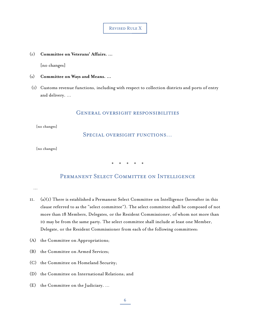(r) **Committee on Veterans' Affairs. …**

[no changes]

- (s) **Committee on Ways and Means. …**
- (1) Customs revenue functions, including with respect to collection districts and ports of entry and delivery. …

### General oversight responsibilities

[no changes]

SPECIAL OVERSIGHT FUNCTIONS...

[no changes]

\* \* \* \* \*

## PERMANENT SELECT COMMITTEE ON INTELLIGENCE

…

- $11.$  (a)(I) There is established a Permanent Select Committee on Intelligence (hereafter in this clause referred to as the "select committee"). The select committee shall be composed of not more than 18 Members, Delegates, or the Resident Commissioner, of whom not more than 10 may be from the same party. The select committee shall include at least one Member, Delegate, or the Resident Commissioner from each of the following committees:
- (A) the Committee on Appropriations;
- (B) the Committee on Armed Services;
- (C) the Committee on Homeland Security;
- (D) the Committee on International Relations; and
- (E) the Committee on the Judiciary. …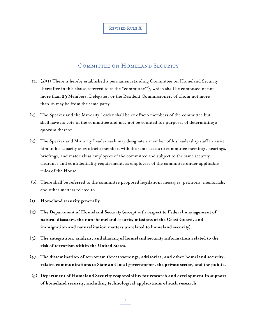## COMMITTEE ON HOMELAND SECURITY

- 12.  $(a)(I)$  There is hereby established a permanent standing Committee on Homeland Security (hereafter in this clause referred to as the "committee"'), which shall be composed of not more than 29 Members, Delegates, or the Resident Commissioner, of whom not more than 16 may be from the same party.
- (2) The Speaker and the Minority Leader shall be ex officio members of the committee but shall have no vote in the committee and may not be counted for purposes of determining a quorum thereof.
- (3) The Speaker and Minority Leader each may designate a member of his leadership staff to assist him in his capacity as ex officio member, with the same access to committee meetings, hearings, briefings, and materials as employees of the committee and subject to the same security clearance and confidentiality requirements as employees of the committee under applicable rules of the House.
- (b) There shall be referred to the committee proposed legislation, messages, petitions, memorials, and other matters related to –
- **(1) Homeland security generally.**
- **(2) The Department of Homeland Security (except with respect to Federal management of natural disasters, the non-homeland security missions of the Coast Guard, and immigration and naturalization matters unrelated to homeland security).**
- **(3) The integration, analysis, and sharing of homeland security information related to the risk of terrorism within the United States.**
- **(4) The dissemination of terrorism threat warnings, advisories, and other homeland securityrelated communications to State and local governments, the private sector, and the public.**
- **(5) Department of Homeland Security responsibility for research and development in support of homeland security, including technological applications of such research.**